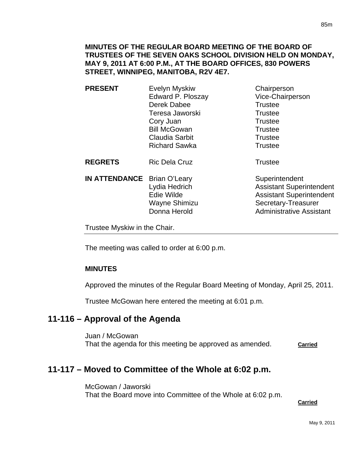**PRESENT** Evelyn Myskiw Chairperson Edward P. Ploszay Vice-Chairperson Derek Dabee Trustee Teresa Jaworski **Trustee** Cory Juan **Trustee** Bill McGowan Trustee Claudia Sarbit **Trustee** Richard Sawka Trustee

**REGRETS** Ric Dela Cruz **Trustee** 

**IN ATTENDANCE** Brian O'Leary Superintendent

Lydia Hedrich **Assistant Superintendent** Edie Wilde **Assistant Superintendent** Wayne Shimizu Secretary-Treasurer Donna Herold **Administrative Assistant** 

Trustee Myskiw in the Chair.

The meeting was called to order at 6:00 p.m.

## **MINUTES**

Approved the minutes of the Regular Board Meeting of Monday, April 25, 2011.

Trustee McGowan here entered the meeting at 6:01 p.m.

# **11-116 – Approval of the Agenda**

Juan / McGowan That the agenda for this meeting be approved as amended. **Carried** 

# **11-117 – Moved to Committee of the Whole at 6:02 p.m.**

McGowan / Jaworski That the Board move into Committee of the Whole at 6:02 p.m.

**Carried**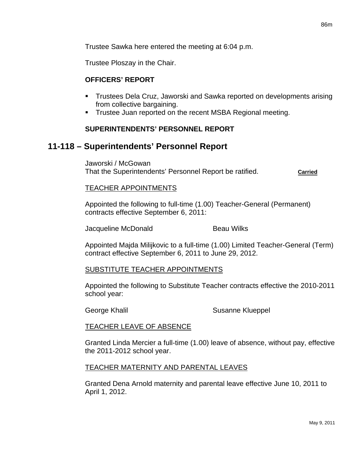Trustee Sawka here entered the meeting at 6:04 p.m.

Trustee Ploszay in the Chair.

#### **OFFICERS' REPORT**

- **Trustees Dela Cruz, Jaworski and Sawka reported on developments arising** from collective bargaining.
- **Trustee Juan reported on the recent MSBA Regional meeting.**

#### **SUPERINTENDENTS' PERSONNEL REPORT**

## **11-118 – Superintendents' Personnel Report**

Jaworski / McGowan That the Superintendents' Personnel Report be ratified. **Carried**

#### TEACHER APPOINTMENTS

Appointed the following to full-time (1.00) Teacher-General (Permanent) contracts effective September 6, 2011:

Jacqueline McDonald Beau Wilks

Appointed Majda Milijkovic to a full-time (1.00) Limited Teacher-General (Term) contract effective September 6, 2011 to June 29, 2012.

#### SUBSTITUTE TEACHER APPOINTMENTS

Appointed the following to Substitute Teacher contracts effective the 2010-2011 school year:

George Khalil Susanne Klueppel

#### TEACHER LEAVE OF ABSENCE

Granted Linda Mercier a full-time (1.00) leave of absence, without pay, effective the 2011-2012 school year.

#### TEACHER MATERNITY AND PARENTAL LEAVES

Granted Dena Arnold maternity and parental leave effective June 10, 2011 to April 1, 2012.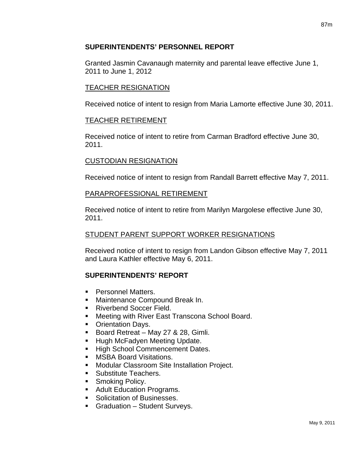## **SUPERINTENDENTS' PERSONNEL REPORT**

Granted Jasmin Cavanaugh maternity and parental leave effective June 1, 2011 to June 1, 2012

## TEACHER RESIGNATION

Received notice of intent to resign from Maria Lamorte effective June 30, 2011.

## TEACHER RETIREMENT

Received notice of intent to retire from Carman Bradford effective June 30, 2011.

## CUSTODIAN RESIGNATION

Received notice of intent to resign from Randall Barrett effective May 7, 2011.

## PARAPROFESSIONAL RETIREMENT

Received notice of intent to retire from Marilyn Margolese effective June 30, 2011.

## STUDENT PARENT SUPPORT WORKER RESIGNATIONS

Received notice of intent to resign from Landon Gibson effective May 7, 2011 and Laura Kathler effective May 6, 2011.

## **SUPERINTENDENTS' REPORT**

- **Personnel Matters.**
- **Maintenance Compound Break In.**
- Riverbend Soccer Field.
- **Meeting with River East Transcona School Board.**
- Orientation Days.
- Board Retreat May 27 & 28, Gimli.
- **Hugh McFadyen Meeting Update.**
- **High School Commencement Dates.**
- **NSBA Board Visitations.**
- **Modular Classroom Site Installation Project.**
- **Substitute Teachers.**
- **Smoking Policy.**
- **Adult Education Programs.**
- **Solicitation of Businesses.**
- **Graduation Student Surveys.**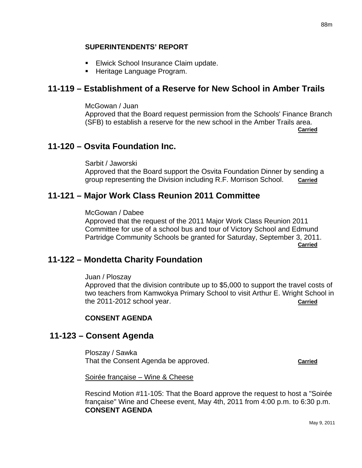- **Elwick School Insurance Claim update.**
- **Heritage Language Program.**

# **11-119 – Establishment of a Reserve for New School in Amber Trails**

McGowan / Juan Approved that the Board request permission from the Schools' Finance Branch (SFB) to establish a reserve for the new school in the Amber Trails area. **Carried** Contract of the Contract of the Contract of the Contract of the Contract of the Contract of the Contract of the Contract of the Contract of the Contract of the Contract of the Contract of the Contract of the Cont

# **11-120 – Osvita Foundation Inc.**

Sarbit / Jaworski Approved that the Board support the Osvita Foundation Dinner by sending a group representing the Division including R.F. Morrison School. **Carried**

# **11-121 – Major Work Class Reunion 2011 Committee**

McGowan / Dabee

Approved that the request of the 2011 Major Work Class Reunion 2011 Committee for use of a school bus and tour of Victory School and Edmund Partridge Community Schools be granted for Saturday, September 3, 2011. *Carried* 

# **11-122 – Mondetta Charity Foundation**

Juan / Ploszay

Approved that the division contribute up to \$5,000 to support the travel costs of two teachers from Kamwokya Primary School to visit Arthur E. Wright School in the 2011-2012 school year. **Carried**

# **CONSENT AGENDA**

# **11-123 – Consent Agenda**

Ploszay / Sawka That the Consent Agenda be approved. **Carried**

Soirée française – Wine & Cheese

Rescind Motion #11-105: That the Board approve the request to host a "Soirée française" Wine and Cheese event, May 4th, 2011 from 4:00 p.m. to 6:30 p.m. **CONSENT AGENDA**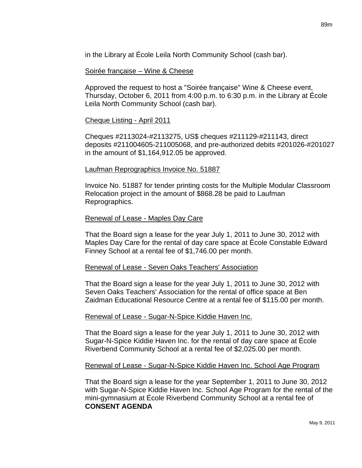in the Library at École Leila North Community School (cash bar).

#### Soirée française – Wine & Cheese

Approved the request to host a "Soirée française" Wine & Cheese event, Thursday, October 6, 2011 from 4:00 p.m. to 6:30 p.m. in the Library at École Leila North Community School (cash bar).

#### Cheque Listing - April 2011

Cheques #2113024-#2113275, US\$ cheques #211129-#211143, direct deposits #211004605-211005068, and pre-authorized debits #201026-#201027 in the amount of \$1,164,912.05 be approved.

#### Laufman Reprographics Invoice No. 51887

Invoice No. 51887 for tender printing costs for the Multiple Modular Classroom Relocation project in the amount of \$868.28 be paid to Laufman Reprographics.

#### Renewal of Lease - Maples Day Care

That the Board sign a lease for the year July 1, 2011 to June 30, 2012 with Maples Day Care for the rental of day care space at École Constable Edward Finney School at a rental fee of \$1,746.00 per month.

#### Renewal of Lease - Seven Oaks Teachers' Association

That the Board sign a lease for the year July 1, 2011 to June 30, 2012 with Seven Oaks Teachers' Association for the rental of office space at Ben Zaidman Educational Resource Centre at a rental fee of \$115.00 per month.

#### Renewal of Lease - Sugar-N-Spice Kiddie Haven Inc.

That the Board sign a lease for the year July 1, 2011 to June 30, 2012 with Sugar-N-Spice Kiddie Haven Inc. for the rental of day care space at École Riverbend Community School at a rental fee of \$2,025.00 per month.

#### Renewal of Lease - Sugar-N-Spice Kiddie Haven Inc. School Age Program

That the Board sign a lease for the year September 1, 2011 to June 30, 2012 with Sugar-N-Spice Kiddie Haven Inc. School Age Program for the rental of the mini-gymnasium at École Riverbend Community School at a rental fee of **CONSENT AGENDA**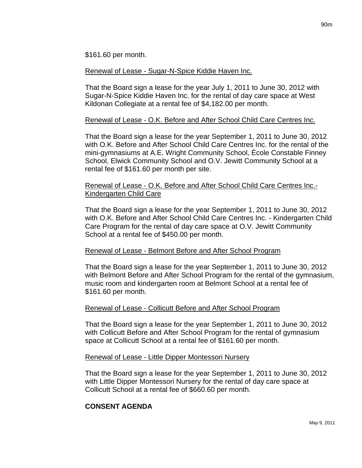\$161.60 per month.

Renewal of Lease - Sugar-N-Spice Kiddie Haven Inc.

That the Board sign a lease for the year July 1, 2011 to June 30, 2012 with Sugar-N-Spice Kiddie Haven Inc. for the rental of day care space at West Kildonan Collegiate at a rental fee of \$4,182.00 per month.

## Renewal of Lease - O.K. Before and After School Child Care Centres Inc.

That the Board sign a lease for the year September 1, 2011 to June 30, 2012 with O.K. Before and After School Child Care Centres Inc. for the rental of the mini-gymnasiums at A.E. Wright Community School, École Constable Finney School, Elwick Community School and O.V. Jewitt Community School at a rental fee of \$161.60 per month per site.

#### Renewal of Lease - O.K. Before and After School Child Care Centres Inc.- Kindergarten Child Care

That the Board sign a lease for the year September 1, 2011 to June 30, 2012 with O.K. Before and After School Child Care Centres Inc. - Kindergarten Child Care Program for the rental of day care space at O.V. Jewitt Community School at a rental fee of \$450.00 per month.

## Renewal of Lease - Belmont Before and After School Program

That the Board sign a lease for the year September 1, 2011 to June 30, 2012 with Belmont Before and After School Program for the rental of the gymnasium, music room and kindergarten room at Belmont School at a rental fee of \$161.60 per month.

## Renewal of Lease - Collicutt Before and After School Program

That the Board sign a lease for the year September 1, 2011 to June 30, 2012 with Collicutt Before and After School Program for the rental of gymnasium space at Collicutt School at a rental fee of \$161.60 per month.

## Renewal of Lease - Little Dipper Montessori Nursery

That the Board sign a lease for the year September 1, 2011 to June 30, 2012 with Little Dipper Montessori Nursery for the rental of day care space at Collicutt School at a rental fee of \$660.60 per month.

## **CONSENT AGENDA**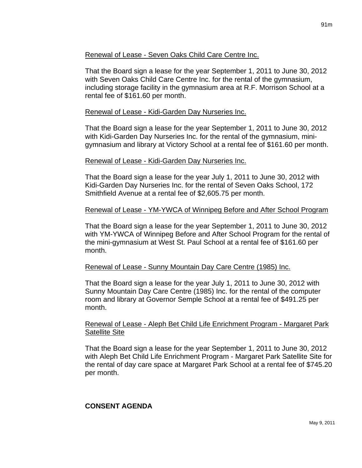## Renewal of Lease - Seven Oaks Child Care Centre Inc.

That the Board sign a lease for the year September 1, 2011 to June 30, 2012 with Seven Oaks Child Care Centre Inc. for the rental of the gymnasium, including storage facility in the gymnasium area at R.F. Morrison School at a rental fee of \$161.60 per month.

## Renewal of Lease - Kidi-Garden Day Nurseries Inc.

That the Board sign a lease for the year September 1, 2011 to June 30, 2012 with Kidi-Garden Day Nurseries Inc. for the rental of the gymnasium, minigymnasium and library at Victory School at a rental fee of \$161.60 per month.

## Renewal of Lease - Kidi-Garden Day Nurseries Inc.

That the Board sign a lease for the year July 1, 2011 to June 30, 2012 with Kidi-Garden Day Nurseries Inc. for the rental of Seven Oaks School, 172 Smithfield Avenue at a rental fee of \$2,605.75 per month.

## Renewal of Lease - YM-YWCA of Winnipeg Before and After School Program

That the Board sign a lease for the year September 1, 2011 to June 30, 2012 with YM-YWCA of Winnipeg Before and After School Program for the rental of the mini-gymnasium at West St. Paul School at a rental fee of \$161.60 per month.

## Renewal of Lease - Sunny Mountain Day Care Centre (1985) Inc.

That the Board sign a lease for the year July 1, 2011 to June 30, 2012 with Sunny Mountain Day Care Centre (1985) Inc. for the rental of the computer room and library at Governor Semple School at a rental fee of \$491.25 per month.

## Renewal of Lease - Aleph Bet Child Life Enrichment Program - Margaret Park Satellite Site

That the Board sign a lease for the year September 1, 2011 to June 30, 2012 with Aleph Bet Child Life Enrichment Program - Margaret Park Satellite Site for the rental of day care space at Margaret Park School at a rental fee of \$745.20 per month.

## **CONSENT AGENDA**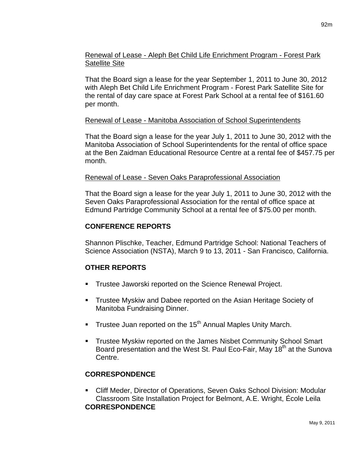## Renewal of Lease - Aleph Bet Child Life Enrichment Program - Forest Park Satellite Site

That the Board sign a lease for the year September 1, 2011 to June 30, 2012 with Aleph Bet Child Life Enrichment Program - Forest Park Satellite Site for the rental of day care space at Forest Park School at a rental fee of \$161.60 per month.

## Renewal of Lease - Manitoba Association of School Superintendents

That the Board sign a lease for the year July 1, 2011 to June 30, 2012 with the Manitoba Association of School Superintendents for the rental of office space at the Ben Zaidman Educational Resource Centre at a rental fee of \$457.75 per month.

## Renewal of Lease - Seven Oaks Paraprofessional Association

That the Board sign a lease for the year July 1, 2011 to June 30, 2012 with the Seven Oaks Paraprofessional Association for the rental of office space at Edmund Partridge Community School at a rental fee of \$75.00 per month.

## **CONFERENCE REPORTS**

Shannon Plischke, Teacher, Edmund Partridge School: National Teachers of Science Association (NSTA), March 9 to 13, 2011 - San Francisco, California.

# **OTHER REPORTS**

- Trustee Jaworski reported on the Science Renewal Project.
- **Trustee Myskiw and Dabee reported on the Asian Heritage Society of** Manitoba Fundraising Dinner.
- Trustee Juan reported on the 15<sup>th</sup> Annual Maples Unity March.
- **Trustee Myskiw reported on the James Nisbet Community School Smart** Board presentation and the West St. Paul Eco-Fair, May 18<sup>th</sup> at the Sunova Centre.

# **CORRESPONDENCE**

 Cliff Meder, Director of Operations, Seven Oaks School Division: Modular Classroom Site Installation Project for Belmont, A.E. Wright, École Leila **CORRESPONDENCE**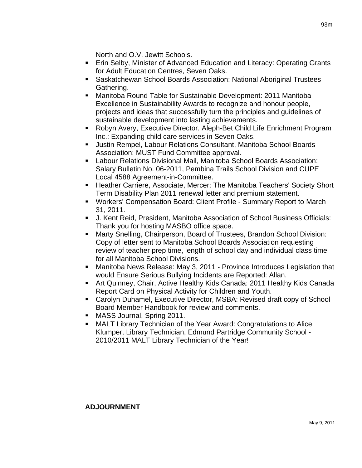North and O.V. Jewitt Schools.

- Erin Selby, Minister of Advanced Education and Literacy: Operating Grants for Adult Education Centres, Seven Oaks.
- Saskatchewan School Boards Association: National Aboriginal Trustees Gathering.
- Manitoba Round Table for Sustainable Development: 2011 Manitoba Excellence in Sustainability Awards to recognize and honour people, projects and ideas that successfully turn the principles and guidelines of sustainable development into lasting achievements.
- Robyn Avery, Executive Director, Aleph-Bet Child Life Enrichment Program Inc.: Expanding child care services in Seven Oaks.
- Justin Rempel, Labour Relations Consultant, Manitoba School Boards Association: MUST Fund Committee approval.
- Labour Relations Divisional Mail, Manitoba School Boards Association: Salary Bulletin No. 06-2011, Pembina Trails School Division and CUPE Local 4588 Agreement-in-Committee.
- **Heather Carriere, Associate, Mercer: The Manitoba Teachers' Society Short** Term Disability Plan 2011 renewal letter and premium statement.
- Workers' Compensation Board: Client Profile Summary Report to March 31, 2011.
- J. Kent Reid, President, Manitoba Association of School Business Officials: Thank you for hosting MASBO office space.
- Marty Snelling, Chairperson, Board of Trustees, Brandon School Division: Copy of letter sent to Manitoba School Boards Association requesting review of teacher prep time, length of school day and individual class time for all Manitoba School Divisions.
- Manitoba News Release: May 3, 2011 Province Introduces Legislation that would Ensure Serious Bullying Incidents are Reported: Allan.
- Art Quinney, Chair, Active Healthy Kids Canada: 2011 Healthy Kids Canada Report Card on Physical Activity for Children and Youth.
- Carolyn Duhamel, Executive Director, MSBA: Revised draft copy of School Board Member Handbook for review and comments.
- MASS Journal, Spring 2011.
- MALT Library Technician of the Year Award: Congratulations to Alice Klumper, Library Technician, Edmund Partridge Community School - 2010/2011 MALT Library Technician of the Year!

## **ADJOURNMENT**